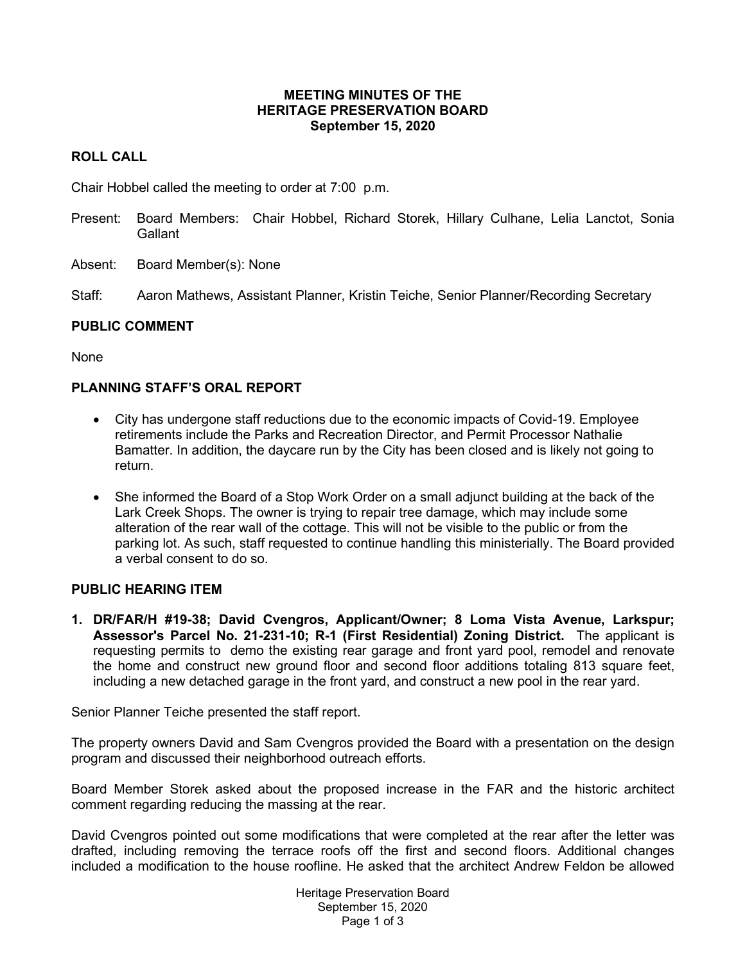### **MEETING MINUTES OF THE HERITAGE PRESERVATION BOARD September 15, 2020**

# **ROLL CALL**

Chair Hobbel called the meeting to order at 7:00 p.m.

- Present: Board Members: Chair Hobbel, Richard Storek, Hillary Culhane, Lelia Lanctot, Sonia **Gallant**
- Absent: Board Member(s): None

Staff: Aaron Mathews, Assistant Planner, Kristin Teiche, Senior Planner/Recording Secretary

## **PUBLIC COMMENT**

None

# **PLANNING STAFF'S ORAL REPORT**

- City has undergone staff reductions due to the economic impacts of Covid-19. Employee retirements include the Parks and Recreation Director, and Permit Processor Nathalie Bamatter. In addition, the daycare run by the City has been closed and is likely not going to return.
- She informed the Board of a Stop Work Order on a small adjunct building at the back of the Lark Creek Shops. The owner is trying to repair tree damage, which may include some alteration of the rear wall of the cottage. This will not be visible to the public or from the parking lot. As such, staff requested to continue handling this ministerially. The Board provided a verbal consent to do so.

## **PUBLIC HEARING ITEM**

**1. DR/FAR/H #19-38; David Cvengros, Applicant/Owner; 8 Loma Vista Avenue, Larkspur; Assessor's Parcel No. 21-231-10; R-1 (First Residential) Zoning District.** The applicant is requesting permits to demo the existing rear garage and front yard pool, remodel and renovate the home and construct new ground floor and second floor additions totaling 813 square feet, including a new detached garage in the front yard, and construct a new pool in the rear yard.

Senior Planner Teiche presented the staff report.

The property owners David and Sam Cvengros provided the Board with a presentation on the design program and discussed their neighborhood outreach efforts.

Board Member Storek asked about the proposed increase in the FAR and the historic architect comment regarding reducing the massing at the rear.

David Cvengros pointed out some modifications that were completed at the rear after the letter was drafted, including removing the terrace roofs off the first and second floors. Additional changes included a modification to the house roofline. He asked that the architect Andrew Feldon be allowed

> Heritage Preservation Board September 15, 2020 Page 1 of 3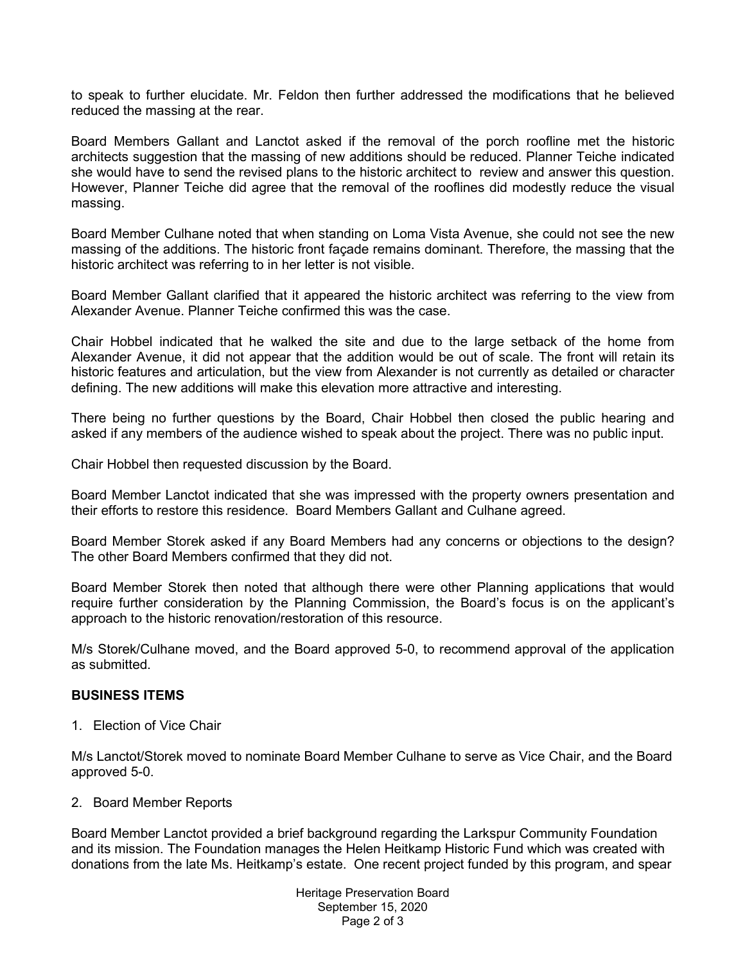to speak to further elucidate. Mr. Feldon then further addressed the modifications that he believed reduced the massing at the rear.

Board Members Gallant and Lanctot asked if the removal of the porch roofline met the historic architects suggestion that the massing of new additions should be reduced. Planner Teiche indicated she would have to send the revised plans to the historic architect to review and answer this question. However, Planner Teiche did agree that the removal of the rooflines did modestly reduce the visual massing.

Board Member Culhane noted that when standing on Loma Vista Avenue, she could not see the new massing of the additions. The historic front façade remains dominant. Therefore, the massing that the historic architect was referring to in her letter is not visible.

Board Member Gallant clarified that it appeared the historic architect was referring to the view from Alexander Avenue. Planner Teiche confirmed this was the case.

Chair Hobbel indicated that he walked the site and due to the large setback of the home from Alexander Avenue, it did not appear that the addition would be out of scale. The front will retain its historic features and articulation, but the view from Alexander is not currently as detailed or character defining. The new additions will make this elevation more attractive and interesting.

There being no further questions by the Board, Chair Hobbel then closed the public hearing and asked if any members of the audience wished to speak about the project. There was no public input.

Chair Hobbel then requested discussion by the Board.

Board Member Lanctot indicated that she was impressed with the property owners presentation and their efforts to restore this residence. Board Members Gallant and Culhane agreed.

Board Member Storek asked if any Board Members had any concerns or objections to the design? The other Board Members confirmed that they did not.

Board Member Storek then noted that although there were other Planning applications that would require further consideration by the Planning Commission, the Board's focus is on the applicant's approach to the historic renovation/restoration of this resource.

M/s Storek/Culhane moved, and the Board approved 5-0, to recommend approval of the application as submitted.

#### **BUSINESS ITEMS**

1. Election of Vice Chair

M/s Lanctot/Storek moved to nominate Board Member Culhane to serve as Vice Chair, and the Board approved 5-0.

2. Board Member Reports

Board Member Lanctot provided a brief background regarding the Larkspur Community Foundation and its mission. The Foundation manages the Helen Heitkamp Historic Fund which was created with donations from the late Ms. Heitkamp's estate. One recent project funded by this program, and spear

> Heritage Preservation Board September 15, 2020 Page 2 of 3